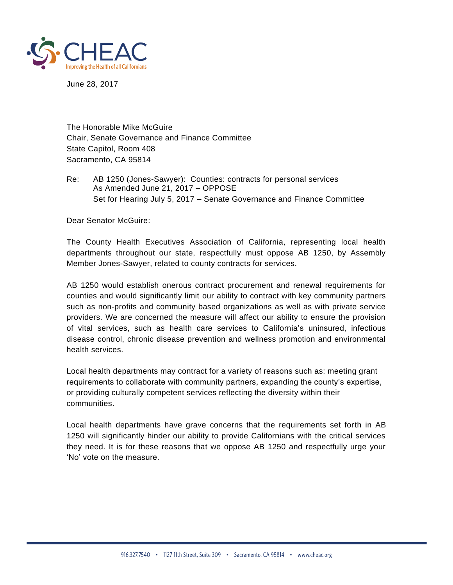

June 28, 2017

The Honorable Mike McGuire Chair, Senate Governance and Finance Committee State Capitol, Room 408 Sacramento, CA 95814

Re: AB 1250 (Jones-Sawyer): Counties: contracts for personal services As Amended June 21, 2017 – OPPOSE Set for Hearing July 5, 2017 – Senate Governance and Finance Committee

Dear Senator McGuire:

The County Health Executives Association of California, representing local health departments throughout our state, respectfully must oppose AB 1250, by Assembly Member Jones-Sawyer, related to county contracts for services.

AB 1250 would establish onerous contract procurement and renewal requirements for counties and would significantly limit our ability to contract with key community partners such as non-profits and community based organizations as well as with private service providers. We are concerned the measure will affect our ability to ensure the provision of vital services, such as health care services to California's uninsured, infectious disease control, chronic disease prevention and wellness promotion and environmental health services.

Local health departments may contract for a variety of reasons such as: meeting grant requirements to collaborate with community partners, expanding the county's expertise, or providing culturally competent services reflecting the diversity within their communities.

Local health departments have grave concerns that the requirements set forth in AB 1250 will significantly hinder our ability to provide Californians with the critical services they need. It is for these reasons that we oppose AB 1250 and respectfully urge your 'No' vote on the measure.